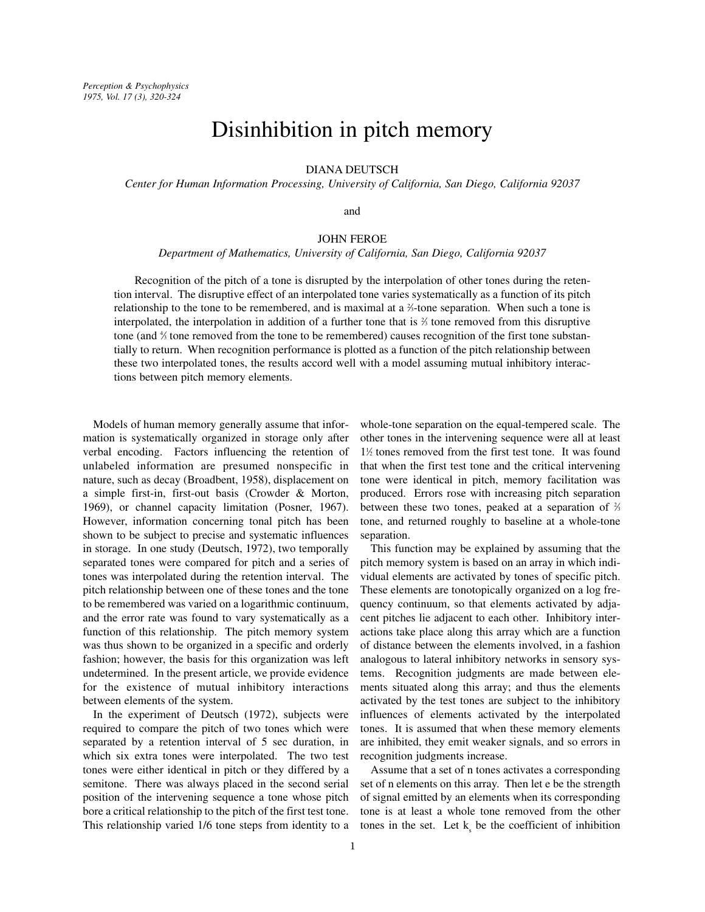# Disinhibition in pitch memory

DIANA DEUTSCH

*Center for Human Information Processing, University of California, San Diego, California 92037*

and

## JOHN FEROE

*Department of Mathematics, University of California, San Diego, California 92037*

Recognition of the pitch of a tone is disrupted by the interpolation of other tones during the retention interval. The disruptive effect of an interpolated tone varies systematically as a function of its pitch relationship to the tone to be remembered, and is maximal at a  $\frac{2}{3}$ -tone separation. When such a tone is interpolated, the interpolation in addition of a further tone that is  $\frac{2}{3}$  tone removed from this disruptive tone (and  $\frac{4}{3}$  tone removed from the tone to be remembered) causes recognition of the first tone substantially to return. When recognition performance is plotted as a function of the pitch relationship between these two interpolated tones, the results accord well with a model assuming mutual inhibitory interactions between pitch memory elements.

Models of human memory generally assume that information is systematically organized in storage only after verbal encoding. Factors influencing the retention of unlabeled information are presumed nonspecific in nature, such as decay (Broadbent, 1958), displacement on a simple first-in, first-out basis (Crowder & Morton, 1969), or channel capacity limitation (Posner, 1967). However, information concerning tonal pitch has been shown to be subject to precise and systematic influences in storage. In one study (Deutsch, 1972), two temporally separated tones were compared for pitch and a series of tones was interpolated during the retention interval. The pitch relationship between one of these tones and the tone to be remembered was varied on a logarithmic continuum, and the error rate was found to vary systematically as a function of this relationship. The pitch memory system was thus shown to be organized in a specific and orderly fashion; however, the basis for this organization was left undetermined. In the present article, we provide evidence for the existence of mutual inhibitory interactions between elements of the system.

In the experiment of Deutsch (1972), subjects were required to compare the pitch of two tones which were separated by a retention interval of 5 sec duration, in which six extra tones were interpolated. The two test tones were either identical in pitch or they differed by a semitone. There was always placed in the second serial position of the intervening sequence a tone whose pitch bore a critical relationship to the pitch of the first test tone. This relationship varied 1/6 tone steps from identity to a whole-tone separation on the equal-tempered scale. The other tones in the intervening sequence were all at least 1<sup>1</sup>/<sub>2</sub> tones removed from the first test tone. It was found that when the first test tone and the critical intervening tone were identical in pitch, memory facilitation was produced. Errors rose with increasing pitch separation between these two tones, peaked at a separation of  $\frac{2}{3}$ tone, and returned roughly to baseline at a whole-tone separation.

This function may be explained by assuming that the pitch memory system is based on an array in which individual elements are activated by tones of specific pitch. These elements are tonotopically organized on a log frequency continuum, so that elements activated by adjacent pitches lie adjacent to each other. Inhibitory interactions take place along this array which are a function of distance between the elements involved, in a fashion analogous to lateral inhibitory networks in sensory systems. Recognition judgments are made between elements situated along this array; and thus the elements activated by the test tones are subject to the inhibitory influences of elements activated by the interpolated tones. It is assumed that when these memory elements are inhibited, they emit weaker signals, and so errors in recognition judgments increase.

Assume that a set of n tones activates a corresponding set of n elements on this array. Then let e be the strength of signal emitted by an elements when its corresponding tone is at least a whole tone removed from the other tones in the set. Let  $k_{s}$  be the coefficient of inhibition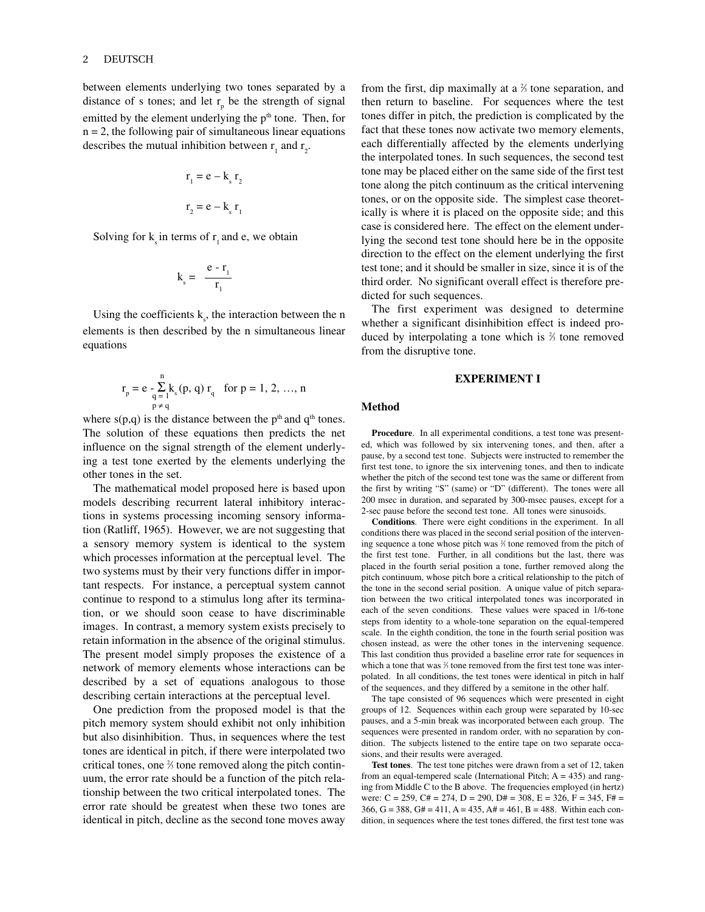## 2 DEUTSCH

between elements underlying two tones separated by a distance of s tones; and let  $r_p$  be the strength of signal emitted by the element underlying the  $p<sup>th</sup>$  tone. Then, for  $n = 2$ , the following pair of simultaneous linear equations describes the mutual inhibition between  $r_1$  and  $r_2$ .

$$
r_1 = e - k_s r_2
$$

$$
r_2 = e - k_s r_1
$$

Solving for  $k<sub>i</sub>$  in terms of  $r<sub>i</sub>$  and e, we obtain

$$
k_s = \frac{e - r_1}{r_1}
$$

Using the coefficients  $k_s$ , the interaction between the n elements is then described by the n simultaneous linear equations

$$
r_{p} = e - \sum_{\substack{q=1 \ p \neq q}}^{n} k_{s}(p, q) r_{q} \text{ for } p = 1, 2, ..., n
$$

where  $s(p,q)$  is the distance between the p<sup>th</sup> and  $q<sup>th</sup>$  tones. The solution of these equations then predicts the net influence on the signal strength of the element underlying a test tone exerted by the elements underlying the other tones in the set.

The mathematical model proposed here is based upon models describing recurrent lateral inhibitory interactions in systems processing incoming sensory information (Ratliff, 1965). However, we are not suggesting that a sensory memory system is identical to the system which processes information at the perceptual level. The two systems must by their very functions differ in important respects. For instance, a perceptual system cannot continue to respond to a stimulus long after its termination, or we should soon cease to have discriminable images. In contrast, a memory system exists precisely to retain information in the absence of the original stimulus. The present model simply proposes the existence of a network of memory elements whose interactions can be described by a set of equations analogous to those describing certain interactions at the perceptual level.

One prediction from the proposed model is that the pitch memory system should exhibit not only inhibition but also disinhibition. Thus, in sequences where the test tones are identical in pitch, if there were interpolated two critical tones, one  $\frac{2}{3}$  tone removed along the pitch continuum, the error rate should be a function of the pitch relationship between the two critical interpolated tones. The error rate should be greatest when these two tones are identical in pitch, decline as the second tone moves away

from the first, dip maximally at a  $\frac{2}{3}$  tone separation, and then return to baseline. For sequences where the test tones differ in pitch, the prediction is complicated by the fact that these tones now activate two memory elements, each differentially affected by the elements underlying the interpolated tones. In such sequences, the second test tone may be placed either on the same side of the first test tone along the pitch continuum as the critical intervening tones, or on the opposite side. The simplest case theoretically is where it is placed on the opposite side; and this case is considered here. The effect on the element underlying the second test tone should here be in the opposite direction to the effect on the element underlying the first test tone; and it should be smaller in size, since it is of the third order. No significant overall effect is therefore predicted for such sequences.

The first experiment was designed to determine whether a significant disinhibition effect is indeed produced by interpolating a tone which is 2 ⁄3 tone removed from the disruptive tone.

## **EXPERIMENT I**

## **Method**

**Procedure**. In all experimental conditions, a test tone was presented, which was followed by six intervening tones, and then, after a pause, by a second test tone. Subjects were instructed to remember the first test tone, to ignore the six intervening tones, and then to indicate whether the pitch of the second test tone was the same or different from the first by writing "S" (same) or "D" (different). The tones were all 200 msec in duration, and separated by 300-msec pauses, except for a 2-sec pause before the second test tone. All tones were sinusoids.

**Conditions**. There were eight conditions in the experiment. In all conditions there was placed in the second serial position of the intervening sequence a tone whose pitch was 2 ⁄3 tone removed from the pitch of the first test tone. Further, in all conditions but the last, there was placed in the fourth serial position a tone, further removed along the pitch continuum, whose pitch bore a critical relationship to the pitch of the tone in the second serial position. A unique value of pitch separation between the two critical interpolated tones was incorporated in each of the seven conditions. These values were spaced in 1/6-tone steps from identity to a whole-tone separation on the equal-tempered scale. In the eighth condition, the tone in the fourth serial position was chosen instead, as were the other tones in the intervening sequence. This last condition thus provided a baseline error rate for sequences in which a tone that was  $\frac{2}{3}$  tone removed from the first test tone was interpolated. In all conditions, the test tones were identical in pitch in half of the sequences, and they differed by a semitone in the other half.

The tape consisted of 96 sequences which were presented in eight groups of 12. Sequences within each group were separated by 10-sec pauses, and a 5-min break was incorporated between each group. The sequences were presented in random order, with no separation by condition. The subjects listened to the entire tape on two separate occasions, and their results were averaged.

**Test tones**. The test tone pitches were drawn from a set of 12, taken from an equal-tempered scale (International Pitch;  $A = 435$ ) and ranging from Middle C to the B above. The frequencies employed (in hertz) were:  $C = 259$ ,  $C# = 274$ ,  $D = 290$ ,  $D# = 308$ ,  $E = 326$ ,  $F = 345$ ,  $F# =$ 366, G = 388, G# = 411, A = 435, A# = 461, B = 488. Within each condition, in sequences where the test tones differed, the first test tone was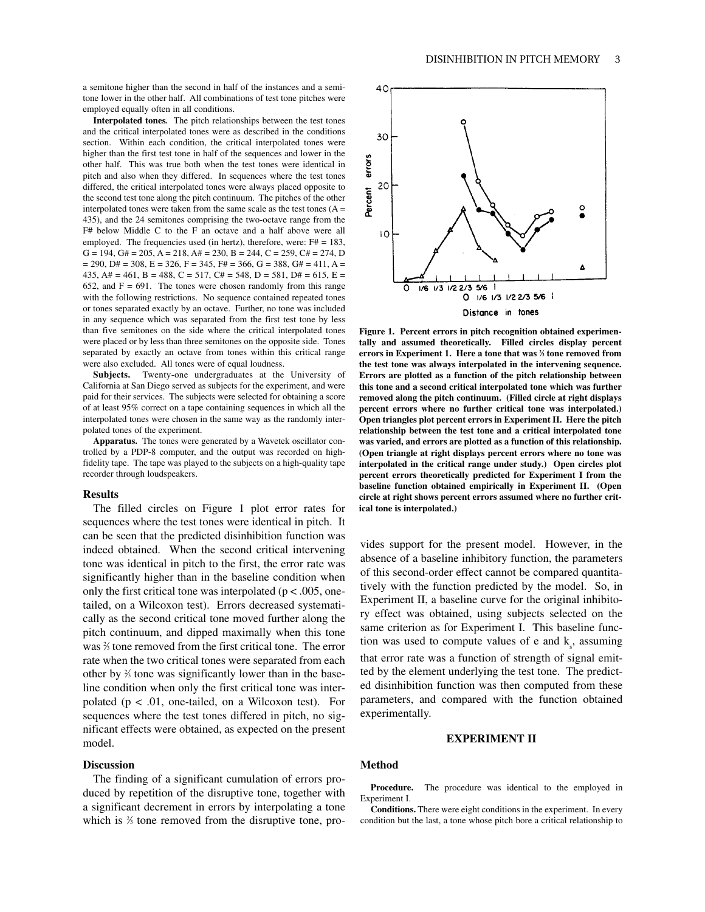employed equally often in all conditions. **Interpolated tones***.* The pitch relationships between the test tones and the critical interpolated tones were as described in the conditions section. Within each condition, the critical interpolated tones were higher than the first test tone in half of the sequences and lower in the other half. This was true both when the test tones were identical in pitch and also when they differed. In sequences where the test tones differed, the critical interpolated tones were always placed opposite to the second test tone along the pitch continuum. The pitches of the other interpolated tones were taken from the same scale as the test tones  $(A =$ 435), and the 24 semitones comprising the two-octave range from the F# below Middle C to the F an octave and a half above were all employed. The frequencies used (in hertz), therefore, were:  $F# = 183$ ,  $G = 194$ ,  $G# = 205$ ,  $A = 218$ ,  $A# = 230$ ,  $B = 244$ ,  $C = 259$ ,  $C# = 274$ , D  $= 290$ , D#  $= 308$ , E  $= 326$ , F  $= 345$ , F#  $= 366$ , G  $= 388$ , G#  $= 411$ , A  $= 111$ 435, A# = 461, B = 488, C = 517, C# = 548, D = 581, D# = 615, E = 652, and  $F = 691$ . The tones were chosen randomly from this range with the following restrictions. No sequence contained repeated tones or tones separated exactly by an octave. Further, no tone was included in any sequence which was separated from the first test tone by less than five semitones on the side where the critical interpolated tones were placed or by less than three semitones on the opposite side. Tones separated by exactly an octave from tones within this critical range were also excluded. All tones were of equal loudness.

tone lower in the other half. All combinations of test tone pitches were

**Subjects.** Twenty-one undergraduates at the University of California at San Diego served as subjects for the experiment, and were paid for their services. The subjects were selected for obtaining a score of at least 95% correct on a tape containing sequences in which all the interpolated tones were chosen in the same way as the randomly interpolated tones of the experiment.

**Apparatus.** The tones were generated by a Wavetek oscillator controlled by a PDP-8 computer, and the output was recorded on highfidelity tape. The tape was played to the subjects on a high-quality tape recorder through loudspeakers.

#### **Results**

The filled circles on Figure 1 plot error rates for sequences where the test tones were identical in pitch. It can be seen that the predicted disinhibition function was indeed obtained. When the second critical intervening tone was identical in pitch to the first, the error rate was significantly higher than in the baseline condition when only the first critical tone was interpolated ( $p < .005$ , onetailed, on a Wilcoxon test). Errors decreased systematically as the second critical tone moved further along the pitch continuum, and dipped maximally when this tone was  $\frac{2}{3}$  tone removed from the first critical tone. The error rate when the two critical tones were separated from each other by  $\frac{2}{3}$  tone was significantly lower than in the baseline condition when only the first critical tone was interpolated ( $p < .01$ , one-tailed, on a Wilcoxon test). For sequences where the test tones differed in pitch, no significant effects were obtained, as expected on the present model.

## **Discussion**

The finding of a significant cumulation of errors produced by repetition of the disruptive tone, together with a significant decrement in errors by interpolating a tone which is  $\frac{2}{3}$  tone removed from the disruptive tone, pro-



**Figure 1. Percent errors in pitch recognition obtained experimentally and assumed theoretically. Filled circles display percent errors in Experiment 1. Here a tone that was 2 ⁄3 tone removed from the test tone was always interpolated in the intervening sequence. Errors are plotted as a function of the pitch relationship between this tone and a second critical interpolated tone which was further removed along the pitch continuum. (Filled circle at right displays percent errors where no further critical tone was interpolated.) Open triangles plot percent errors in Experiment II. Here the pitch relationship between the test tone and a critical interpolated tone was varied, and errors are plotted as a function of this relationship. (Open triangle at right displays percent errors where no tone was interpolated in the critical range under study.) Open circles plot percent errors theoretically predicted for Experiment I from the baseline function obtained empirically in Experiment II. (Open circle at right shows percent errors assumed where no further critical tone is interpolated.)**

vides support for the present model. However, in the absence of a baseline inhibitory function, the parameters of this second-order effect cannot be compared quantitatively with the function predicted by the model. So, in Experiment II, a baseline curve for the original inhibitory effect was obtained, using subjects selected on the same criterion as for Experiment I. This baseline function was used to compute values of e and  $k<sub>s</sub>$ , assuming that error rate was a function of strength of signal emitted by the element underlying the test tone. The predicted disinhibition function was then computed from these parameters, and compared with the function obtained experimentally.

## **EXPERIMENT II**

## **Method**

**Procedure.** The procedure was identical to the employed in Experiment I.

**Conditions.** There were eight conditions in the experiment. In every condition but the last, a tone whose pitch bore a critical relationship to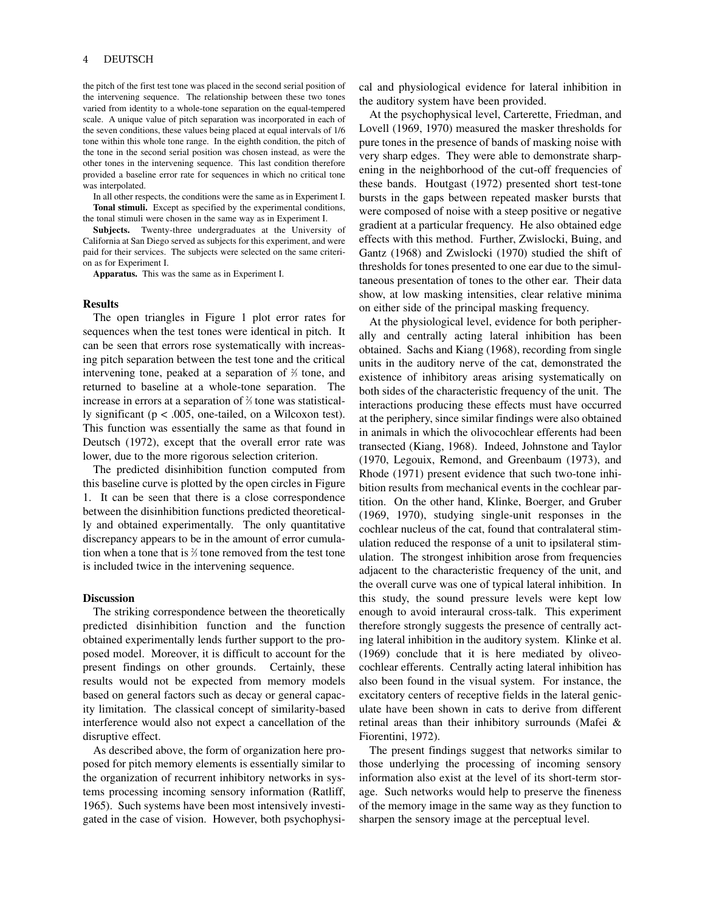#### 4 DEUTSCH

the pitch of the first test tone was placed in the second serial position of the intervening sequence. The relationship between these two tones varied from identity to a whole-tone separation on the equal-tempered scale. A unique value of pitch separation was incorporated in each of the seven conditions, these values being placed at equal intervals of 1/6 tone within this whole tone range. In the eighth condition, the pitch of the tone in the second serial position was chosen instead, as were the other tones in the intervening sequence. This last condition therefore provided a baseline error rate for sequences in which no critical tone was interpolated.

In all other respects, the conditions were the same as in Experiment I. **Tonal stimuli.** Except as specified by the experimental conditions, the tonal stimuli were chosen in the same way as in Experiment I.

**Subjects.** Twenty-three undergraduates at the University of California at San Diego served as subjects for this experiment, and were paid for their services. The subjects were selected on the same criterion as for Experiment I.

**Apparatus.** This was the same as in Experiment I.

#### **Results**

The open triangles in Figure 1 plot error rates for sequences when the test tones were identical in pitch. It can be seen that errors rose systematically with increasing pitch separation between the test tone and the critical intervening tone, peaked at a separation of  $\frac{2}{3}$  tone, and returned to baseline at a whole-tone separation. The increase in errors at a separation of  $\frac{2}{3}$  tone was statistically significant ( $p < .005$ , one-tailed, on a Wilcoxon test). This function was essentially the same as that found in Deutsch (1972), except that the overall error rate was lower, due to the more rigorous selection criterion.

The predicted disinhibition function computed from this baseline curve is plotted by the open circles in Figure 1. It can be seen that there is a close correspondence between the disinhibition functions predicted theoretically and obtained experimentally. The only quantitative discrepancy appears to be in the amount of error cumulation when a tone that is  $\frac{2}{3}$  tone removed from the test tone is included twice in the intervening sequence.

#### **Discussion**

The striking correspondence between the theoretically predicted disinhibition function and the function obtained experimentally lends further support to the proposed model. Moreover, it is difficult to account for the present findings on other grounds. Certainly, these results would not be expected from memory models based on general factors such as decay or general capacity limitation. The classical concept of similarity-based interference would also not expect a cancellation of the disruptive effect.

As described above, the form of organization here proposed for pitch memory elements is essentially similar to the organization of recurrent inhibitory networks in systems processing incoming sensory information (Ratliff, 1965). Such systems have been most intensively investigated in the case of vision. However, both psychophysical and physiological evidence for lateral inhibition in the auditory system have been provided.

At the psychophysical level, Carterette, Friedman, and Lovell (1969, 1970) measured the masker thresholds for pure tones in the presence of bands of masking noise with very sharp edges. They were able to demonstrate sharpening in the neighborhood of the cut-off frequencies of these bands. Houtgast (1972) presented short test-tone bursts in the gaps between repeated masker bursts that were composed of noise with a steep positive or negative gradient at a particular frequency. He also obtained edge effects with this method. Further, Zwislocki, Buing, and Gantz (1968) and Zwislocki (1970) studied the shift of thresholds for tones presented to one ear due to the simultaneous presentation of tones to the other ear. Their data show, at low masking intensities, clear relative minima on either side of the principal masking frequency.

At the physiological level, evidence for both peripherally and centrally acting lateral inhibition has been obtained. Sachs and Kiang (1968), recording from single units in the auditory nerve of the cat, demonstrated the existence of inhibitory areas arising systematically on both sides of the characteristic frequency of the unit. The interactions producing these effects must have occurred at the periphery, since similar findings were also obtained in animals in which the olivocochlear efferents had been transected (Kiang, 1968). Indeed, Johnstone and Taylor (1970, Legouix, Remond, and Greenbaum (1973), and Rhode (1971) present evidence that such two-tone inhibition results from mechanical events in the cochlear partition. On the other hand, Klinke, Boerger, and Gruber (1969, 1970), studying single-unit responses in the cochlear nucleus of the cat, found that contralateral stimulation reduced the response of a unit to ipsilateral stimulation. The strongest inhibition arose from frequencies adjacent to the characteristic frequency of the unit, and the overall curve was one of typical lateral inhibition. In this study, the sound pressure levels were kept low enough to avoid interaural cross-talk. This experiment therefore strongly suggests the presence of centrally acting lateral inhibition in the auditory system. Klinke et al. (1969) conclude that it is here mediated by oliveocochlear efferents. Centrally acting lateral inhibition has also been found in the visual system. For instance, the excitatory centers of receptive fields in the lateral geniculate have been shown in cats to derive from different retinal areas than their inhibitory surrounds (Mafei & Fiorentini, 1972).

The present findings suggest that networks similar to those underlying the processing of incoming sensory information also exist at the level of its short-term storage. Such networks would help to preserve the fineness of the memory image in the same way as they function to sharpen the sensory image at the perceptual level.